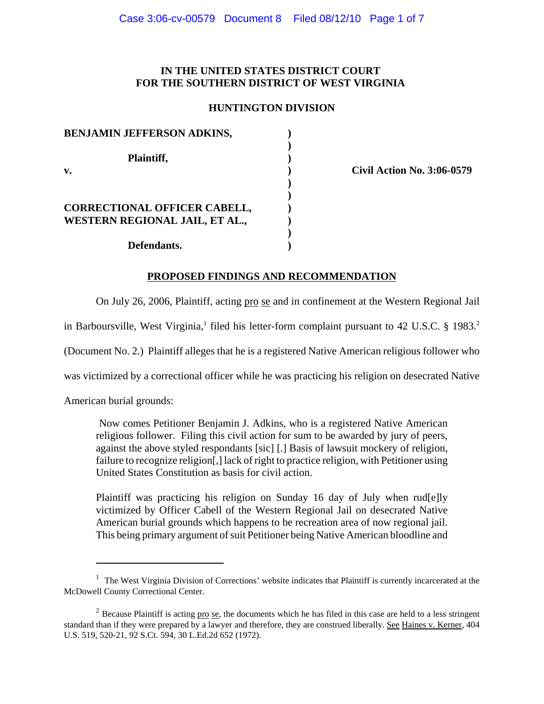# **IN THE UNITED STATES DISTRICT COURT FOR THE SOUTHERN DISTRICT OF WEST VIRGINIA**

## **HUNTINGTON DIVISION**

| <b>BENJAMIN JEFFERSON ADKINS,</b>   |  |
|-------------------------------------|--|
| Plaintiff,                          |  |
| $\mathbf{v}$ .                      |  |
|                                     |  |
|                                     |  |
| <b>CORRECTIONAL OFFICER CABELL,</b> |  |
| WESTERN REGIONAL JAIL, ET AL.,      |  |
|                                     |  |
| Defendants.                         |  |

**v. ) Civil Action No. 3:06-0579**

## **PROPOSED FINDINGS AND RECOMMENDATION**

On July 26, 2006, Plaintiff, acting pro se and in confinement at the Western Regional Jail

in Barboursville, West Virginia,<sup>1</sup> filed his letter-form complaint pursuant to 42 U.S.C. § 1983.<sup>2</sup>

(Document No. 2.) Plaintiff alleges that he is a registered Native American religious follower who

was victimized by a correctional officer while he was practicing his religion on desecrated Native

American burial grounds:

 Now comes Petitioner Benjamin J. Adkins, who is a registered Native American religious follower. Filing this civil action for sum to be awarded by jury of peers, against the above styled respondants [sic] [.] Basis of lawsuit mockery of religion, failure to recognize religion[,] lack of right to practice religion, with Petitioner using United States Constitution as basis for civil action.

Plaintiff was practicing his religion on Sunday 16 day of July when rud[e]ly victimized by Officer Cabell of the Western Regional Jail on desecrated Native American burial grounds which happens to be recreation area of now regional jail. This being primary argument of suit Petitioner being Native American bloodline and

<sup>&</sup>lt;sup>1</sup> The West Virginia Division of Corrections' website indicates that Plaintiff is currently incarcerated at the McDowell County Correctional Center.

 $2^2$  Because Plaintiff is acting pro se, the documents which he has filed in this case are held to a less stringent standard than if they were prepared by a lawyer and therefore, they are construed liberally. See Haines v. Kerner, 404 U.S. 519, 520-21, 92 S.Ct. 594, 30 L.Ed.2d 652 (1972).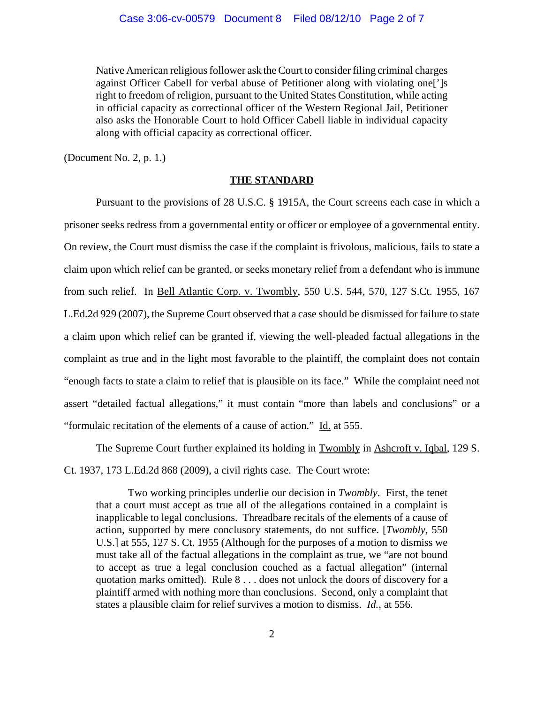Native American religious follower ask the Court to consider filing criminal charges against Officer Cabell for verbal abuse of Petitioner along with violating one[']s right to freedom of religion, pursuant to the United States Constitution, while acting in official capacity as correctional officer of the Western Regional Jail, Petitioner also asks the Honorable Court to hold Officer Cabell liable in individual capacity along with official capacity as correctional officer.

(Document No. 2, p. 1.)

#### **THE STANDARD**

Pursuant to the provisions of 28 U.S.C. § 1915A, the Court screens each case in which a prisoner seeks redress from a governmental entity or officer or employee of a governmental entity. On review, the Court must dismiss the case if the complaint is frivolous, malicious, fails to state a claim upon which relief can be granted, or seeks monetary relief from a defendant who is immune from such relief. In Bell Atlantic Corp. v. Twombly, 550 U.S. 544, 570, 127 S.Ct. 1955, 167 L.Ed.2d 929 (2007), the Supreme Court observed that a case should be dismissed for failure to state a claim upon which relief can be granted if, viewing the well-pleaded factual allegations in the complaint as true and in the light most favorable to the plaintiff, the complaint does not contain "enough facts to state a claim to relief that is plausible on its face." While the complaint need not assert "detailed factual allegations," it must contain "more than labels and conclusions" or a "formulaic recitation of the elements of a cause of action." Id. at 555.

The Supreme Court further explained its holding in Twombly in Ashcroft v. Iqbal, 129 S. Ct. 1937, 173 L.Ed.2d 868 (2009), a civil rights case. The Court wrote:

Two working principles underlie our decision in *Twombly*. First, the tenet that a court must accept as true all of the allegations contained in a complaint is inapplicable to legal conclusions. Threadbare recitals of the elements of a cause of action, supported by mere conclusory statements, do not suffice. [*Twombly*, 550 U.S.] at 555, 127 S. Ct. 1955 (Although for the purposes of a motion to dismiss we must take all of the factual allegations in the complaint as true, we "are not bound to accept as true a legal conclusion couched as a factual allegation" (internal quotation marks omitted). Rule 8 . . . does not unlock the doors of discovery for a plaintiff armed with nothing more than conclusions. Second, only a complaint that states a plausible claim for relief survives a motion to dismiss. *Id.*, at 556.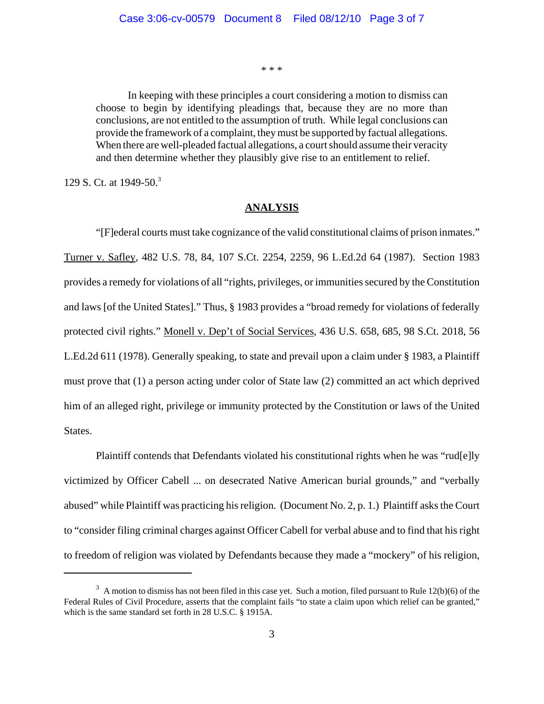\* \* \*

In keeping with these principles a court considering a motion to dismiss can choose to begin by identifying pleadings that, because they are no more than conclusions, are not entitled to the assumption of truth. While legal conclusions can provide the framework of a complaint, they must be supported by factual allegations. When there are well-pleaded factual allegations, a court should assume their veracity and then determine whether they plausibly give rise to an entitlement to relief.

129 S. Ct. at 1949-50.3

### **ANALYSIS**

"[F]ederal courts must take cognizance of the valid constitutional claims of prison inmates." Turner v. Safley, 482 U.S. 78, 84, 107 S.Ct. 2254, 2259, 96 L.Ed.2d 64 (1987). Section 1983 provides a remedy for violations of all "rights, privileges, or immunities secured by the Constitution and laws [of the United States]." Thus, § 1983 provides a "broad remedy for violations of federally protected civil rights." Monell v. Dep't of Social Services, 436 U.S. 658, 685, 98 S.Ct. 2018, 56 L.Ed.2d 611 (1978). Generally speaking, to state and prevail upon a claim under § 1983, a Plaintiff must prove that (1) a person acting under color of State law (2) committed an act which deprived him of an alleged right, privilege or immunity protected by the Constitution or laws of the United States.

Plaintiff contends that Defendants violated his constitutional rights when he was "rud[e]ly victimized by Officer Cabell ... on desecrated Native American burial grounds," and "verbally abused" while Plaintiff was practicing his religion. (Document No. 2, p. 1.) Plaintiff asks the Court to "consider filing criminal charges against Officer Cabell for verbal abuse and to find that his right to freedom of religion was violated by Defendants because they made a "mockery" of his religion,

 $3\,$  A motion to dismiss has not been filed in this case yet. Such a motion, filed pursuant to Rule 12(b)(6) of the Federal Rules of Civil Procedure, asserts that the complaint fails "to state a claim upon which relief can be granted," which is the same standard set forth in 28 U.S.C. § 1915A.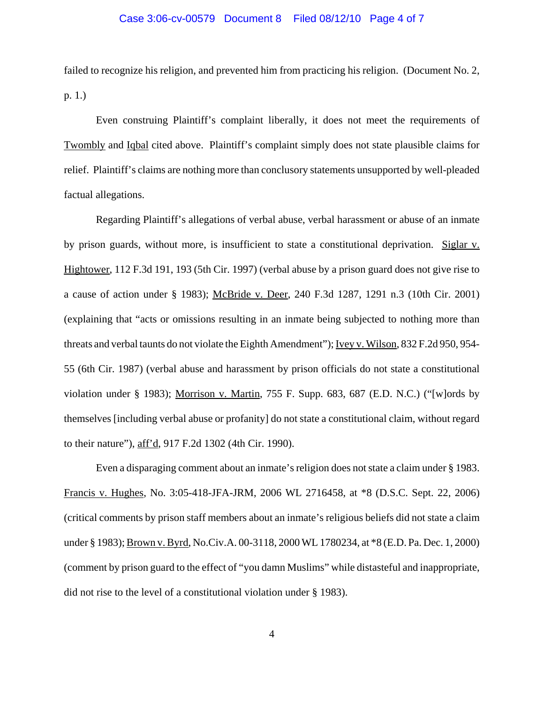failed to recognize his religion, and prevented him from practicing his religion. (Document No. 2, p. 1.)

Even construing Plaintiff's complaint liberally, it does not meet the requirements of Twombly and Iqbal cited above. Plaintiff's complaint simply does not state plausible claims for relief. Plaintiff's claims are nothing more than conclusory statements unsupported by well-pleaded factual allegations.

Regarding Plaintiff's allegations of verbal abuse, verbal harassment or abuse of an inmate by prison guards, without more, is insufficient to state a constitutional deprivation. Siglar v. Hightower, 112 F.3d 191, 193 (5th Cir. 1997) (verbal abuse by a prison guard does not give rise to a cause of action under § 1983); McBride v. Deer, 240 F.3d 1287, 1291 n.3 (10th Cir. 2001) (explaining that "acts or omissions resulting in an inmate being subjected to nothing more than threats and verbal taunts do not violate the Eighth Amendment"); Ivey v. Wilson, 832 F.2d 950, 954- 55 (6th Cir. 1987) (verbal abuse and harassment by prison officials do not state a constitutional violation under § 1983); Morrison v. Martin, 755 F. Supp. 683, 687 (E.D. N.C.) ("[w]ords by themselves [including verbal abuse or profanity] do not state a constitutional claim, without regard to their nature"), aff'd, 917 F.2d 1302 (4th Cir. 1990).

Even a disparaging comment about an inmate's religion does not state a claim under § 1983. Francis v. Hughes, No. 3:05-418-JFA-JRM, 2006 WL 2716458, at \*8 (D.S.C. Sept. 22, 2006) (critical comments by prison staff members about an inmate's religious beliefs did not state a claim under § 1983); Brown v. Byrd, No.Civ.A. 00-3118, 2000 WL 1780234, at \*8 (E.D. Pa. Dec. 1, 2000) (comment by prison guard to the effect of "you damn Muslims" while distasteful and inappropriate, did not rise to the level of a constitutional violation under § 1983).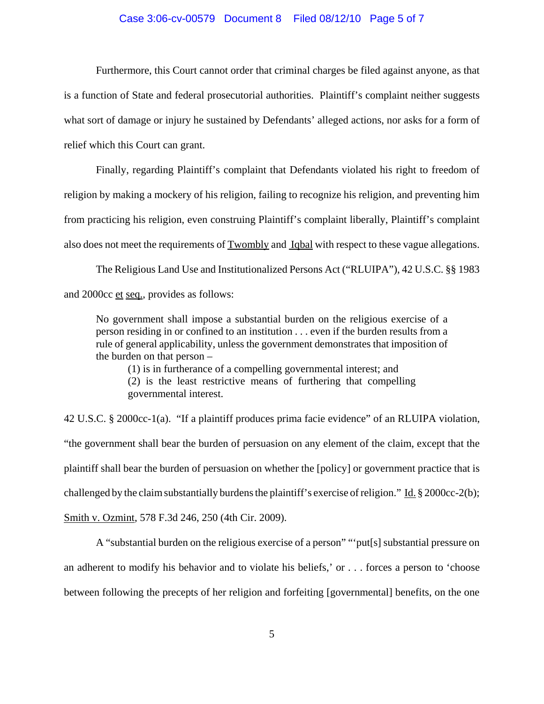### Case 3:06-cv-00579 Document 8 Filed 08/12/10 Page 5 of 7

Furthermore, this Court cannot order that criminal charges be filed against anyone, as that is a function of State and federal prosecutorial authorities. Plaintiff's complaint neither suggests what sort of damage or injury he sustained by Defendants' alleged actions, nor asks for a form of relief which this Court can grant.

Finally, regarding Plaintiff's complaint that Defendants violated his right to freedom of religion by making a mockery of his religion, failing to recognize his religion, and preventing him from practicing his religion, even construing Plaintiff's complaint liberally, Plaintiff's complaint also does not meet the requirements of Twombly and Iqbal with respect to these vague allegations.

The Religious Land Use and Institutionalized Persons Act ("RLUIPA"), 42 U.S.C. §§ 1983 and 2000cc et seq., provides as follows:

No government shall impose a substantial burden on the religious exercise of a person residing in or confined to an institution . . . even if the burden results from a rule of general applicability, unless the government demonstrates that imposition of the burden on that person –

(1) is in furtherance of a compelling governmental interest; and (2) is the least restrictive means of furthering that compelling governmental interest.

42 U.S.C. § 2000cc-1(a). "If a plaintiff produces prima facie evidence" of an RLUIPA violation, "the government shall bear the burden of persuasion on any element of the claim, except that the plaintiff shall bear the burden of persuasion on whether the [policy] or government practice that is challenged by the claim substantially burdens the plaintiff's exercise of religion." Id.  $\S 2000cc-2(b)$ ; Smith v. Ozmint, 578 F.3d 246, 250 (4th Cir. 2009).

A "substantial burden on the religious exercise of a person" "'put[s] substantial pressure on an adherent to modify his behavior and to violate his beliefs,' or . . . forces a person to 'choose between following the precepts of her religion and forfeiting [governmental] benefits, on the one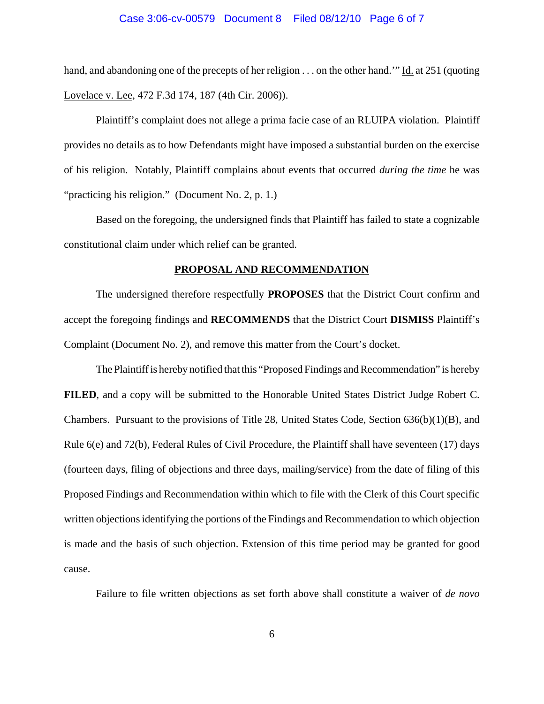### Case 3:06-cv-00579 Document 8 Filed 08/12/10 Page 6 of 7

hand, and abandoning one of the precepts of her religion . . . on the other hand." Id. at 251 (quoting Lovelace v. Lee, 472 F.3d 174, 187 (4th Cir. 2006)).

Plaintiff's complaint does not allege a prima facie case of an RLUIPA violation. Plaintiff provides no details as to how Defendants might have imposed a substantial burden on the exercise of his religion. Notably, Plaintiff complains about events that occurred *during the time* he was "practicing his religion." (Document No. 2, p. 1.)

Based on the foregoing, the undersigned finds that Plaintiff has failed to state a cognizable constitutional claim under which relief can be granted.

#### **PROPOSAL AND RECOMMENDATION**

The undersigned therefore respectfully **PROPOSES** that the District Court confirm and accept the foregoing findings and **RECOMMENDS** that the District Court **DISMISS** Plaintiff's Complaint (Document No. 2), and remove this matter from the Court's docket.

The Plaintiff is hereby notified that this "Proposed Findings and Recommendation" is hereby **FILED**, and a copy will be submitted to the Honorable United States District Judge Robert C. Chambers. Pursuant to the provisions of Title 28, United States Code, Section  $636(b)(1)(B)$ , and Rule 6(e) and 72(b), Federal Rules of Civil Procedure, the Plaintiff shall have seventeen (17) days (fourteen days, filing of objections and three days, mailing/service) from the date of filing of this Proposed Findings and Recommendation within which to file with the Clerk of this Court specific written objections identifying the portions of the Findings and Recommendation to which objection is made and the basis of such objection. Extension of this time period may be granted for good cause.

Failure to file written objections as set forth above shall constitute a waiver of *de novo*